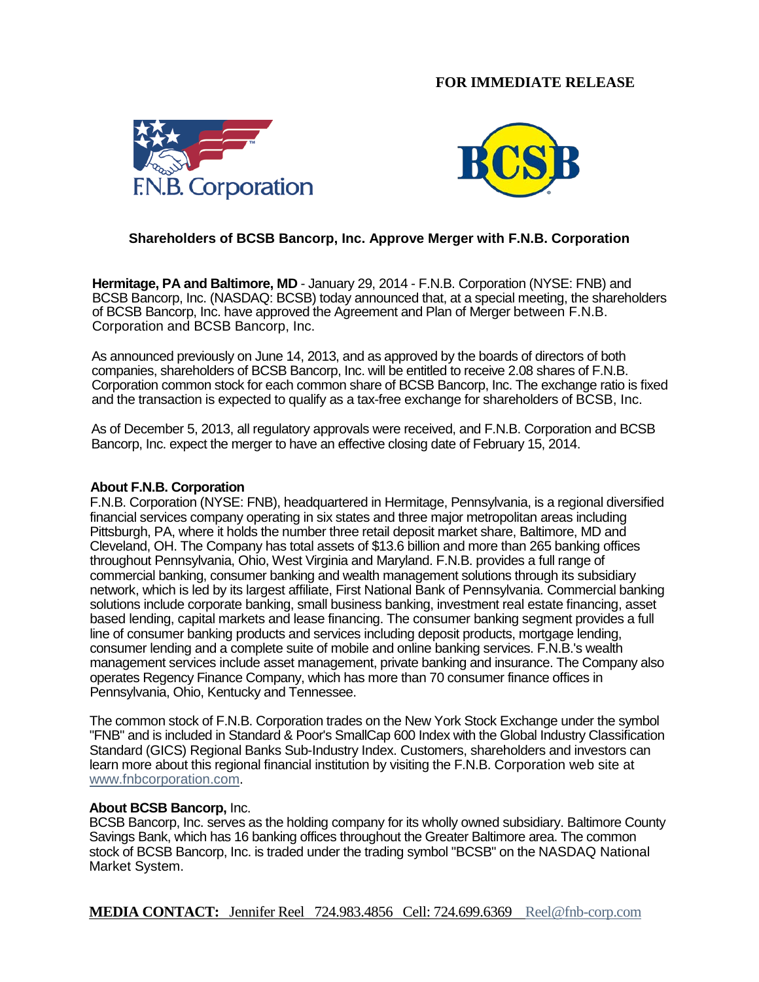# **FOR IMMEDIATE RELEASE**





## **Shareholders of BCSB Bancorp, Inc. Approve Merger with F.N.B. Corporation**

**Hermitage, PA and Baltimore, MD** - January 29, 2014 - F.N.B. Corporation (NYSE: FNB) and BCSB Bancorp, Inc. (NASDAQ: BCSB) today announced that, at a special meeting, the shareholders of BCSB Bancorp, Inc. have approved the Agreement and Plan of Merger between F.N.B. Corporation and BCSB Bancorp, Inc.

As announced previously on June 14, 2013, and as approved by the boards of directors of both companies, shareholders of BCSB Bancorp, Inc. will be entitled to receive 2.08 shares of F.N.B. Corporation common stock for each common share of BCSB Bancorp, Inc. The exchange ratio is fixed and the transaction is expected to qualify as a tax-free exchange for shareholders of BCSB, Inc.

As of December 5, 2013, all regulatory approvals were received, and F.N.B. Corporation and BCSB Bancorp, Inc. expect the merger to have an effective closing date of February 15, 2014.

### **About F.N.B. Corporation**

F.N.B. Corporation (NYSE: FNB), headquartered in Hermitage, Pennsylvania, is a regional diversified financial services company operating in six states and three major metropolitan areas including Pittsburgh, PA, where it holds the number three retail deposit market share, Baltimore, MD and Cleveland, OH. The Company has total assets of \$13.6 billion and more than 265 banking offices throughout Pennsylvania, Ohio, West Virginia and Maryland. F.N.B. provides a full range of commercial banking, consumer banking and wealth management solutions through its subsidiary network, which is led by its largest affiliate, First National Bank of Pennsylvania. Commercial banking solutions include corporate banking, small business banking, investment real estate financing, asset based lending, capital markets and lease financing. The consumer banking segment provides a full line of consumer banking products and services including deposit products, mortgage lending, consumer lending and a complete suite of mobile and online banking services. F.N.B.'s wealth management services include asset management, private banking and insurance. The Company also operates Regency Finance Company, which has more than 70 consumer finance offices in Pennsylvania, Ohio, Kentucky and Tennessee.

The common stock of F.N.B. Corporation trades on the New York Stock Exchange under the symbol "FNB" and is included in Standard & Poor's SmallCap 600 Index with the Global Industry Classification Standard (GICS) Regional Banks Sub-Industry Index. Customers, shareholders and investors can learn more about this regional financial institution by visiting the F.N.B. Corporation web site at [www.fnbcorporation.com.](http://www.fnbcorporation.com/)

#### **About BCSB Bancorp,** Inc.

BCSB Bancorp, Inc. serves as the holding company for its wholly owned subsidiary. Baltimore County Savings Bank, which has 16 banking offices throughout the Greater Baltimore area. The common stock of BCSB Bancorp, Inc. is traded under the trading symbol "BCSB" on the NASDAQ National Market System.

**MEDIA CONTACT:** Jennifer Reel 724.983.4856 Cell: 724.699.6369 [Reel@fnb-corp.com](mailto:Reel@fnb-corp.com)